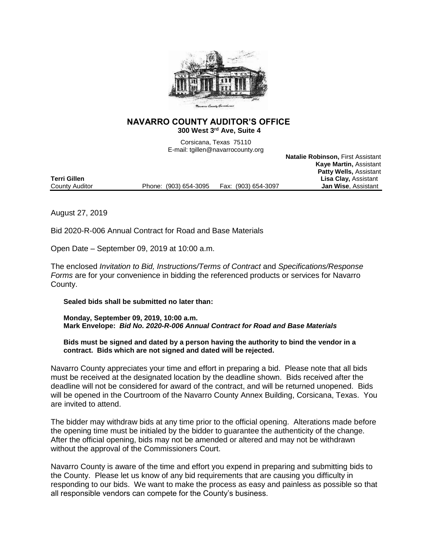

## **NAVARRO COUNTY AUDITOR'S OFFICE 300 West 3rd Ave, Suite 4**

Corsicana, Texas 75110 E-mail: tgillen@navarrocounty.org

**Natalie Robinson,** First Assistant

|                |                       |                     | <b>Kaye Martin, Assistant</b> |
|----------------|-----------------------|---------------------|-------------------------------|
|                |                       |                     | <b>Patty Wells, Assistant</b> |
| Terri Gillen   |                       |                     | <b>Lisa Clay, Assistant</b>   |
| County Auditor | Phone: (903) 654-3095 | Fax: (903) 654-3097 | <b>Jan Wise, Assistant</b>    |
|                |                       |                     |                               |

August 27, 2019

Bid 2020-R-006 Annual Contract for Road and Base Materials

Open Date – September 09, 2019 at 10:00 a.m.

The enclosed *Invitation to Bid, Instructions/Terms of Contract* and *Specifications/Response Forms* are for your convenience in bidding the referenced products or services for Navarro County.

**Sealed bids shall be submitted no later than:**

**Monday, September 09, 2019, 10:00 a.m. Mark Envelope:** *Bid No. 2020-R-006 Annual Contract for Road and Base Materials*

**Bids must be signed and dated by a person having the authority to bind the vendor in a contract. Bids which are not signed and dated will be rejected.**

Navarro County appreciates your time and effort in preparing a bid. Please note that all bids must be received at the designated location by the deadline shown. Bids received after the deadline will not be considered for award of the contract, and will be returned unopened. Bids will be opened in the Courtroom of the Navarro County Annex Building, Corsicana, Texas. You are invited to attend.

The bidder may withdraw bids at any time prior to the official opening. Alterations made before the opening time must be initialed by the bidder to guarantee the authenticity of the change. After the official opening, bids may not be amended or altered and may not be withdrawn without the approval of the Commissioners Court.

Navarro County is aware of the time and effort you expend in preparing and submitting bids to the County. Please let us know of any bid requirements that are causing you difficulty in responding to our bids. We want to make the process as easy and painless as possible so that all responsible vendors can compete for the County's business.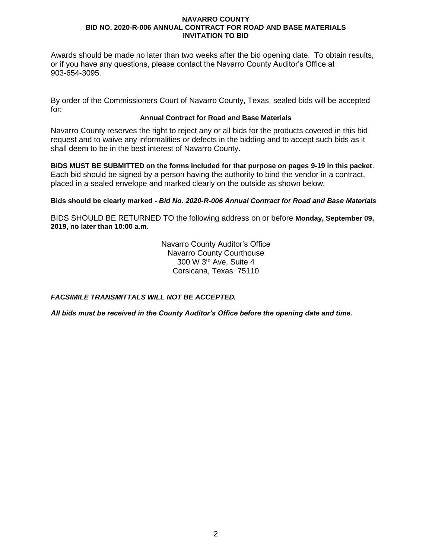Awards should be made no later than two weeks after the bid opening date. To obtain results, or if you have any questions, please contact the Navarro County Auditor's Office at 903-654-3095.

By order of the Commissioners Court of Navarro County, Texas, sealed bids will be accepted for:

## **Annual Contract for Road and Base Materials**

Navarro County reserves the right to reject any or all bids for the products covered in this bid request and to waive any informalities or defects in the bidding and to accept such bids as it shall deem to be in the best interest of Navarro County.

**BIDS MUST BE SUBMITTED on the forms included for that purpose on pages 9-19 in this packet**. Each bid should be signed by a person having the authority to bind the vendor in a contract, placed in a sealed envelope and marked clearly on the outside as shown below.

## **Bids should be clearly marked -** *Bid No. 2020-R-006 Annual Contract for Road and Base Materials*

BIDS SHOULD BE RETURNED TO the following address on or before **Monday, September 09, 2019, no later than 10:00 a.m.**

> Navarro County Auditor's Office Navarro County Courthouse 300 W 3rd Ave, Suite 4 Corsicana, Texas 75110

*FACSIMILE TRANSMITTALS WILL NOT BE ACCEPTED.*

*All bids must be received in the County Auditor's Office before the opening date and time.*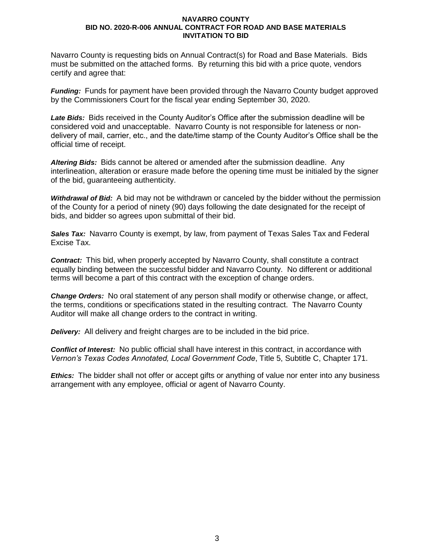Navarro County is requesting bids on Annual Contract(s) for Road and Base Materials. Bids must be submitted on the attached forms. By returning this bid with a price quote, vendors certify and agree that:

*Funding:* Funds for payment have been provided through the Navarro County budget approved by the Commissioners Court for the fiscal year ending September 30, 2020.

*Late Bids:* Bids received in the County Auditor's Office after the submission deadline will be considered void and unacceptable. Navarro County is not responsible for lateness or nondelivery of mail, carrier, etc., and the date/time stamp of the County Auditor's Office shall be the official time of receipt.

*Altering Bids:* Bids cannot be altered or amended after the submission deadline. Any interlineation, alteration or erasure made before the opening time must be initialed by the signer of the bid, guaranteeing authenticity.

*Withdrawal of Bid:* A bid may not be withdrawn or canceled by the bidder without the permission of the County for a period of ninety (90) days following the date designated for the receipt of bids, and bidder so agrees upon submittal of their bid.

*Sales Tax:* Navarro County is exempt, by law, from payment of Texas Sales Tax and Federal Excise Tax.

*Contract:* This bid, when properly accepted by Navarro County, shall constitute a contract equally binding between the successful bidder and Navarro County. No different or additional terms will become a part of this contract with the exception of change orders.

*Change Orders:* No oral statement of any person shall modify or otherwise change, or affect, the terms, conditions or specifications stated in the resulting contract. The Navarro County Auditor will make all change orders to the contract in writing.

*Delivery:* All delivery and freight charges are to be included in the bid price.

*Conflict of Interest:* No public official shall have interest in this contract, in accordance with *Vernon's Texas Codes Annotated, Local Government Code*, Title 5, Subtitle C, Chapter 171.

*Ethics:* The bidder shall not offer or accept gifts or anything of value nor enter into any business arrangement with any employee, official or agent of Navarro County.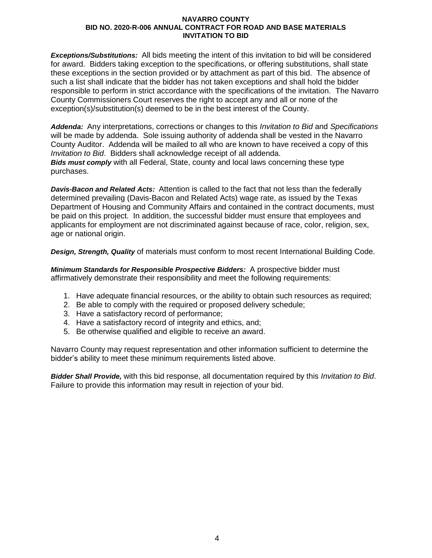*Exceptions/Substitutions:* All bids meeting the intent of this invitation to bid will be considered for award. Bidders taking exception to the specifications, or offering substitutions, shall state these exceptions in the section provided or by attachment as part of this bid. The absence of such a list shall indicate that the bidder has not taken exceptions and shall hold the bidder responsible to perform in strict accordance with the specifications of the invitation. The Navarro County Commissioners Court reserves the right to accept any and all or none of the exception(s)/substitution(s) deemed to be in the best interest of the County.

*Addenda:* Any interpretations, corrections or changes to this *Invitation to Bid* and *Specifications* will be made by addenda. Sole issuing authority of addenda shall be vested in the Navarro County Auditor. Addenda will be mailed to all who are known to have received a copy of this *Invitation to Bid*. Bidders shall acknowledge receipt of all addenda. *Bids must comply* with all Federal, State, county and local laws concerning these type purchases.

*Davis-Bacon and Related Acts:* Attention is called to the fact that not less than the federally determined prevailing (Davis-Bacon and Related Acts) wage rate, as issued by the Texas Department of Housing and Community Affairs and contained in the contract documents, must be paid on this project. In addition, the successful bidder must ensure that employees and applicants for employment are not discriminated against because of race, color, religion, sex, age or national origin.

*Design, Strength, Quality* of materials must conform to most recent International Building Code.

*Minimum Standards for Responsible Prospective Bidders:* A prospective bidder must affirmatively demonstrate their responsibility and meet the following requirements:

- 1. Have adequate financial resources, or the ability to obtain such resources as required;
- 2. Be able to comply with the required or proposed delivery schedule;
- 3. Have a satisfactory record of performance;
- 4. Have a satisfactory record of integrity and ethics, and;
- 5. Be otherwise qualified and eligible to receive an award.

Navarro County may request representation and other information sufficient to determine the bidder's ability to meet these minimum requirements listed above.

*Bidder Shall Provide,* with this bid response, all documentation required by this *Invitation to Bid*. Failure to provide this information may result in rejection of your bid.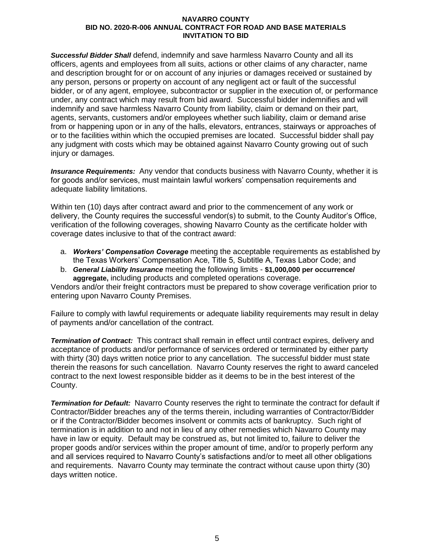*Successful Bidder Shall* defend, indemnify and save harmless Navarro County and all its officers, agents and employees from all suits, actions or other claims of any character, name and description brought for or on account of any injuries or damages received or sustained by any person, persons or property on account of any negligent act or fault of the successful bidder, or of any agent, employee, subcontractor or supplier in the execution of, or performance under, any contract which may result from bid award. Successful bidder indemnifies and will indemnify and save harmless Navarro County from liability, claim or demand on their part, agents, servants, customers and/or employees whether such liability, claim or demand arise from or happening upon or in any of the halls, elevators, entrances, stairways or approaches of or to the facilities within which the occupied premises are located. Successful bidder shall pay any judgment with costs which may be obtained against Navarro County growing out of such injury or damages.

*Insurance Requirements:* Any vendor that conducts business with Navarro County, whether it is for goods and/or services, must maintain lawful workers' compensation requirements and adequate liability limitations.

Within ten (10) days after contract award and prior to the commencement of any work or delivery, the County requires the successful vendor(s) to submit, to the County Auditor's Office, verification of the following coverages, showing Navarro County as the certificate holder with coverage dates inclusive to that of the contract award:

- a. *Workers' Compensation Coverage* meeting the acceptable requirements as established by the Texas Workers' Compensation Ace, Title 5, Subtitle A, Texas Labor Code; and
- b. *General Liability Insurance* meeting the following limits **\$1,000,000 per occurrence/ aggregate,** including products and completed operations coverage.

Vendors and/or their freight contractors must be prepared to show coverage verification prior to entering upon Navarro County Premises.

Failure to comply with lawful requirements or adequate liability requirements may result in delay of payments and/or cancellation of the contract.

*Termination of Contract:* This contract shall remain in effect until contract expires, delivery and acceptance of products and/or performance of services ordered or terminated by either party with thirty (30) days written notice prior to any cancellation. The successful bidder must state therein the reasons for such cancellation. Navarro County reserves the right to award canceled contract to the next lowest responsible bidder as it deems to be in the best interest of the County.

*Termination for Default:* Navarro County reserves the right to terminate the contract for default if Contractor/Bidder breaches any of the terms therein, including warranties of Contractor/Bidder or if the Contractor/Bidder becomes insolvent or commits acts of bankruptcy. Such right of termination is in addition to and not in lieu of any other remedies which Navarro County may have in law or equity. Default may be construed as, but not limited to, failure to deliver the proper goods and/or services within the proper amount of time, and/or to properly perform any and all services required to Navarro County's satisfactions and/or to meet all other obligations and requirements. Navarro County may terminate the contract without cause upon thirty (30) days written notice.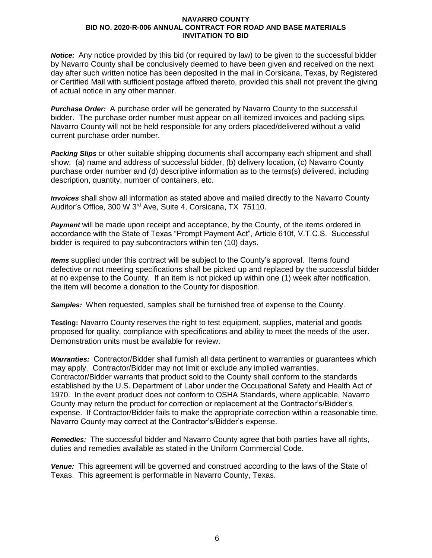*Notice:* Any notice provided by this bid (or required by law) to be given to the successful bidder by Navarro County shall be conclusively deemed to have been given and received on the next day after such written notice has been deposited in the mail in Corsicana, Texas, by Registered or Certified Mail with sufficient postage affixed thereto, provided this shall not prevent the giving of actual notice in any other manner.

*Purchase Order:* A purchase order will be generated by Navarro County to the successful bidder. The purchase order number must appear on all itemized invoices and packing slips. Navarro County will not be held responsible for any orders placed/delivered without a valid current purchase order number.

*Packing Slips* or other suitable shipping documents shall accompany each shipment and shall show: (a) name and address of successful bidder, (b) delivery location, (c) Navarro County purchase order number and (d) descriptive information as to the terms(s) delivered, including description, quantity, number of containers, etc.

*Invoices* shall show all information as stated above and mailed directly to the Navarro County Auditor's Office, 300 W 3rd Ave, Suite 4, Corsicana, TX 75110.

**Payment** will be made upon receipt and acceptance, by the County, of the items ordered in accordance with the State of Texas "Prompt Payment Act", Article 610f, V.T.C.S. Successful bidder is required to pay subcontractors within ten (10) days.

*Items* supplied under this contract will be subject to the County's approval. Items found defective or not meeting specifications shall be picked up and replaced by the successful bidder at no expense to the County. If an item is not picked up within one (1) week after notification, the item will become a donation to the County for disposition.

*Samples:* When requested, samples shall be furnished free of expense to the County.

**Testing:** Navarro County reserves the right to test equipment, supplies, material and goods proposed for quality, compliance with specifications and ability to meet the needs of the user. Demonstration units must be available for review.

*Warranties:* Contractor/Bidder shall furnish all data pertinent to warranties or guarantees which may apply. Contractor/Bidder may not limit or exclude any implied warranties. Contractor/Bidder warrants that product sold to the County shall conform to the standards established by the U.S. Department of Labor under the Occupational Safety and Health Act of 1970. In the event product does not conform to OSHA Standards, where applicable, Navarro County may return the product for correction or replacement at the Contractor's/Bidder's expense. If Contractor/Bidder fails to make the appropriate correction within a reasonable time, Navarro County may correct at the Contractor's/Bidder's expense.

*Remedies:* The successful bidder and Navarro County agree that both parties have all rights, duties and remedies available as stated in the Uniform Commercial Code.

*Venue:* This agreement will be governed and construed according to the laws of the State of Texas. This agreement is performable in Navarro County, Texas.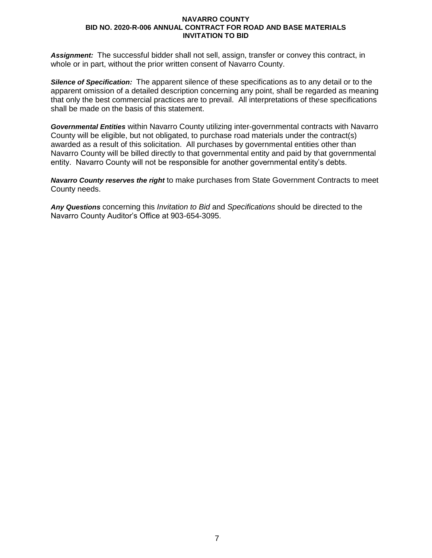*Assignment:* The successful bidder shall not sell, assign, transfer or convey this contract, in whole or in part, without the prior written consent of Navarro County.

*Silence of Specification:* The apparent silence of these specifications as to any detail or to the apparent omission of a detailed description concerning any point, shall be regarded as meaning that only the best commercial practices are to prevail. All interpretations of these specifications shall be made on the basis of this statement.

*Governmental Entities* within Navarro County utilizing inter-governmental contracts with Navarro County will be eligible, but not obligated, to purchase road materials under the contract(s) awarded as a result of this solicitation. All purchases by governmental entities other than Navarro County will be billed directly to that governmental entity and paid by that governmental entity. Navarro County will not be responsible for another governmental entity's debts.

*Navarro County reserves the right* to make purchases from State Government Contracts to meet County needs.

*Any Questions* concerning this *Invitation to Bid* and *Specifications* should be directed to the Navarro County Auditor's Office at 903-654-3095.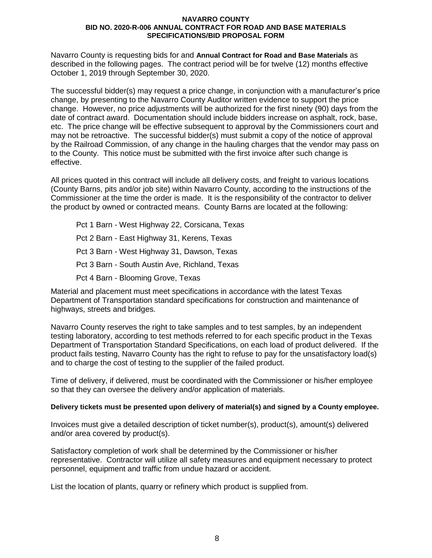Navarro County is requesting bids for and **Annual Contract for Road and Base Materials** as described in the following pages. The contract period will be for twelve (12) months effective October 1, 2019 through September 30, 2020.

The successful bidder(s) may request a price change, in conjunction with a manufacturer's price change, by presenting to the Navarro County Auditor written evidence to support the price change. However, no price adjustments will be authorized for the first ninety (90) days from the date of contract award. Documentation should include bidders increase on asphalt, rock, base, etc. The price change will be effective subsequent to approval by the Commissioners court and may not be retroactive. The successful bidder(s) must submit a copy of the notice of approval by the Railroad Commission, of any change in the hauling charges that the vendor may pass on to the County. This notice must be submitted with the first invoice after such change is effective.

All prices quoted in this contract will include all delivery costs, and freight to various locations (County Barns, pits and/or job site) within Navarro County, according to the instructions of the Commissioner at the time the order is made. It is the responsibility of the contractor to deliver the product by owned or contracted means. County Barns are located at the following:

Pct 1 Barn - West Highway 22, Corsicana, Texas Pct 2 Barn - East Highway 31, Kerens, Texas Pct 3 Barn - West Highway 31, Dawson, Texas Pct 3 Barn - South Austin Ave, Richland, Texas Pct 4 Barn - Blooming Grove, Texas

Material and placement must meet specifications in accordance with the latest Texas Department of Transportation standard specifications for construction and maintenance of highways, streets and bridges.

Navarro County reserves the right to take samples and to test samples, by an independent testing laboratory, according to test methods referred to for each specific product in the Texas Department of Transportation Standard Specifications, on each load of product delivered. If the product fails testing, Navarro County has the right to refuse to pay for the unsatisfactory load(s) and to charge the cost of testing to the supplier of the failed product.

Time of delivery, if delivered, must be coordinated with the Commissioner or his/her employee so that they can oversee the delivery and/or application of materials.

## **Delivery tickets must be presented upon delivery of material(s) and signed by a County employee.**

Invoices must give a detailed description of ticket number(s), product(s), amount(s) delivered and/or area covered by product(s).

Satisfactory completion of work shall be determined by the Commissioner or his/her representative. Contractor will utilize all safety measures and equipment necessary to protect personnel, equipment and traffic from undue hazard or accident.

List the location of plants, quarry or refinery which product is supplied from.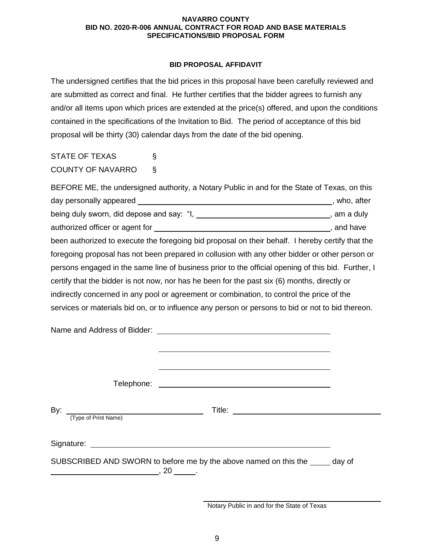## **BID PROPOSAL AFFIDAVIT**

The undersigned certifies that the bid prices in this proposal have been carefully reviewed and are submitted as correct and final. He further certifies that the bidder agrees to furnish any and/or all items upon which prices are extended at the price(s) offered, and upon the conditions contained in the specifications of the Invitation to Bid. The period of acceptance of this bid proposal will be thirty (30) calendar days from the date of the bid opening.

STATE OF TEXAS § COUNTY OF NAVARRO §

BEFORE ME, the undersigned authority, a Notary Public in and for the State of Texas, on this day personally appeared **of the set of the set of the set of the set of the set of the set of the set of the set of the set of the set of the set of the set of the set of the set of the set of the set of the set of the set** being duly sworn, did depose and say: " $I_1$ ,  $I_2$ ,  $I_3$ ,  $I_4$ ,  $I_5$ ,  $I_6$ ,  $I_7$ ,  $I_8$ ,  $I_9$ ,  $I_9$ ,  $I_9$ ,  $I_9$ ,  $I_9$ ,  $I_9$ ,  $I_9$ ,  $I_9$ ,  $I_9$ ,  $I_9$ ,  $I_9$ ,  $I_9$ ,  $I_9$ ,  $I_9$ ,  $I_9$ ,  $I_9$ ,  $I_9$ ,  $I_9$ , authorized officer or agent for  $\overline{\phantom{a}}$  and have , and have been authorized to execute the foregoing bid proposal on their behalf. I hereby certify that the foregoing proposal has not been prepared in collusion with any other bidder or other person or persons engaged in the same line of business prior to the official opening of this bid. Further, I certify that the bidder is not now, nor has he been for the past six (6) months, directly or indirectly concerned in any pool or agreement or combination, to control the price of the services or materials bid on, or to influence any person or persons to bid or not to bid thereon.

|                                                                                                                                                                                                                                                                                                                                                                                                                                    | <u> 1989 - Johann Stoff, Amerikaansk politiker (* 1908)</u>                   |  |
|------------------------------------------------------------------------------------------------------------------------------------------------------------------------------------------------------------------------------------------------------------------------------------------------------------------------------------------------------------------------------------------------------------------------------------|-------------------------------------------------------------------------------|--|
|                                                                                                                                                                                                                                                                                                                                                                                                                                    |                                                                               |  |
| By:<br><u> 1989 - Johann Barn, mars an t-Amerikaansk kommunister (</u><br>(Type of Print Name)                                                                                                                                                                                                                                                                                                                                     |                                                                               |  |
| $\begin{array}{cccccccccc} \textbf{20} & \textbf{0} & \textbf{0} & \textbf{0} & \textbf{0} & \textbf{0} & \textbf{0} & \textbf{0} & \textbf{0} & \textbf{0} & \textbf{0} & \textbf{0} & \textbf{0} & \textbf{0} & \textbf{0} & \textbf{0} & \textbf{0} & \textbf{0} & \textbf{0} & \textbf{0} & \textbf{0} & \textbf{0} & \textbf{0} & \textbf{0} & \textbf{0} & \textbf{0} & \textbf{0} & \textbf{0} & \textbf{0} & \textbf{0} &$ | SUBSCRIBED AND SWORN to before me by the above named on this the _____ day of |  |

Notary Public in and for the State of Texas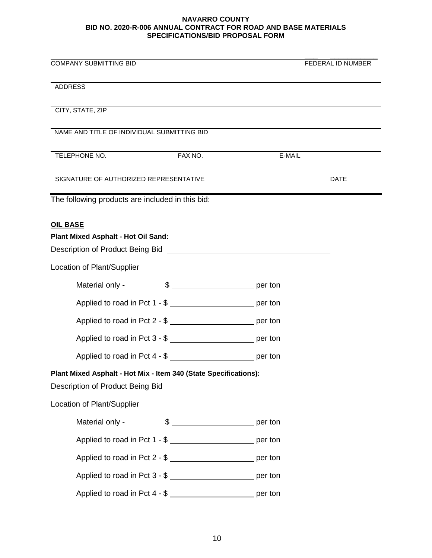| <b>COMPANY SUBMITTING BID</b>                                                                                                                                                                                                                                                                            |                       |        | FEDERAL ID NUMBER |
|----------------------------------------------------------------------------------------------------------------------------------------------------------------------------------------------------------------------------------------------------------------------------------------------------------|-----------------------|--------|-------------------|
| <b>ADDRESS</b>                                                                                                                                                                                                                                                                                           |                       |        |                   |
| CITY, STATE, ZIP                                                                                                                                                                                                                                                                                         |                       |        |                   |
| NAME AND TITLE OF INDIVIDUAL SUBMITTING BID                                                                                                                                                                                                                                                              |                       |        |                   |
| TELEPHONE NO.                                                                                                                                                                                                                                                                                            | FAX NO.               | E-MAIL |                   |
| SIGNATURE OF AUTHORIZED REPRESENTATIVE                                                                                                                                                                                                                                                                   |                       |        | <b>DATE</b>       |
| The following products are included in this bid:                                                                                                                                                                                                                                                         |                       |        |                   |
| <b>OIL BASE</b>                                                                                                                                                                                                                                                                                          |                       |        |                   |
| Plant Mixed Asphalt - Hot Oil Sand:                                                                                                                                                                                                                                                                      |                       |        |                   |
| Description of Product Being Bid Network and Secretary Annual Account of Product Being Bid                                                                                                                                                                                                               |                       |        |                   |
|                                                                                                                                                                                                                                                                                                          |                       |        |                   |
| Material only -                                                                                                                                                                                                                                                                                          | $\frac{1}{2}$ per ton |        |                   |
| Applied to road in Pct 1 - \$                                                                                                                                                                                                                                                                            |                       |        |                   |
| Applied to road in Pct 2 - \$ ___________________________ per ton                                                                                                                                                                                                                                        |                       |        |                   |
| Applied to road in Pct 3 - \$ __________________________ per ton                                                                                                                                                                                                                                         |                       |        |                   |
| Applied to road in Pct 4 - \$                                                                                                                                                                                                                                                                            |                       |        |                   |
| Plant Mixed Asphalt - Hot Mix - Item 340 (State Specifications):<br>Description of Product Being Bid <b>Constantine Constantine Constantine Constantine Constantine Constantine Constantine Constantine Constantine Constantine Constantine Constantine Constantine Constantine Constantine Constant</b> |                       |        |                   |
|                                                                                                                                                                                                                                                                                                          |                       |        |                   |
| Material only -                                                                                                                                                                                                                                                                                          |                       |        |                   |
| Applied to road in Pct 1 - \$ __________________________ per ton                                                                                                                                                                                                                                         |                       |        |                   |
| Applied to road in Pct 2 - \$                                                                                                                                                                                                                                                                            |                       |        |                   |
| Applied to road in Pct 3 - \$                                                                                                                                                                                                                                                                            |                       |        |                   |
| Applied to road in Pct 4 - \$ __________________________ per ton                                                                                                                                                                                                                                         |                       |        |                   |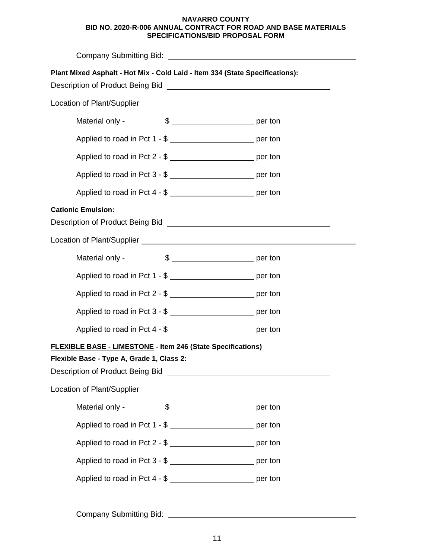| Plant Mixed Asphalt - Hot Mix - Cold Laid - Item 334 (State Specifications):<br>Description of Product Being Bid New York Changes and Theorem 2014                                                                                                                                                                                                      |  |  |  |
|---------------------------------------------------------------------------------------------------------------------------------------------------------------------------------------------------------------------------------------------------------------------------------------------------------------------------------------------------------|--|--|--|
|                                                                                                                                                                                                                                                                                                                                                         |  |  |  |
| Material only -                                                                                                                                                                                                                                                                                                                                         |  |  |  |
| Applied to road in Pct 1 - \$ __________________________ per ton                                                                                                                                                                                                                                                                                        |  |  |  |
| Applied to road in Pct 2 - \$ ___________________________ per ton                                                                                                                                                                                                                                                                                       |  |  |  |
| Applied to road in Pct 3 - \$ __________________________ per ton                                                                                                                                                                                                                                                                                        |  |  |  |
| Applied to road in Pct 4 - \$                                                                                                                                                                                                                                                                                                                           |  |  |  |
| <b>Cationic Emulsion:</b><br>Description of Product Being Bid<br>Note: 1988 - 1999 - 1999 - 1999 - 1999 - 1999 - 1999 - 1999 - 1999 - 1999 - 1999 - 1999 - 1999 - 1999 - 1999 - 1999 - 1999 - 1999 - 1999 - 1999 - 1999 - 1999 - 1999 - 1999 - 1999 - 1999 -                                                                                            |  |  |  |
|                                                                                                                                                                                                                                                                                                                                                         |  |  |  |
| Material only -                                                                                                                                                                                                                                                                                                                                         |  |  |  |
| Applied to road in Pct 1 - \$                                                                                                                                                                                                                                                                                                                           |  |  |  |
| Applied to road in Pct 2 - \$                                                                                                                                                                                                                                                                                                                           |  |  |  |
|                                                                                                                                                                                                                                                                                                                                                         |  |  |  |
|                                                                                                                                                                                                                                                                                                                                                         |  |  |  |
| <b>FLEXIBLE BASE - LIMESTONE - Item 246 (State Specifications)</b><br>Flexible Base - Type A, Grade 1, Class 2:<br>Description of Product Being Bid <b>Constantine Constantine Constantine Constantine Constantine Constantine Constantine Constantine Constantine Constantine Constantine Constantine Constantine Constantine Constantine Constant</b> |  |  |  |
|                                                                                                                                                                                                                                                                                                                                                         |  |  |  |
| Material only -                                                                                                                                                                                                                                                                                                                                         |  |  |  |
| Applied to road in Pct 1 - \$                                                                                                                                                                                                                                                                                                                           |  |  |  |
| Applied to road in Pct 2 - \$ ___________________________ per ton                                                                                                                                                                                                                                                                                       |  |  |  |
| Applied to road in Pct 3 - \$                                                                                                                                                                                                                                                                                                                           |  |  |  |
| Applied to road in Pct 4 - \$ __________________________ per ton                                                                                                                                                                                                                                                                                        |  |  |  |
|                                                                                                                                                                                                                                                                                                                                                         |  |  |  |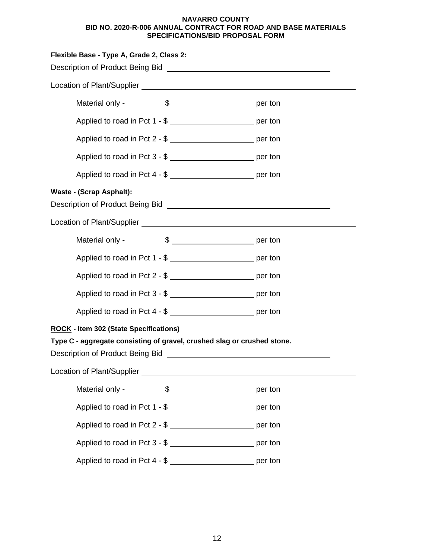| Flexible Base - Type A, Grade 2, Class 2:                                                                       |                                                                     |  |
|-----------------------------------------------------------------------------------------------------------------|---------------------------------------------------------------------|--|
| Description of Product Being Bid Network and Control of Product Being Bid Network and Control of Product Being  |                                                                     |  |
|                                                                                                                 |                                                                     |  |
| Material only -                                                                                                 |                                                                     |  |
|                                                                                                                 | Applied to road in Pct 1 - \$ __________________________ per ton    |  |
|                                                                                                                 | Applied to road in Pct 2 - \$ __________________________ per ton    |  |
|                                                                                                                 | Applied to road in Pct 3 - \$ __________________________ per ton    |  |
|                                                                                                                 | Applied to road in Pct 4 - \$ __________________________ per ton    |  |
| <b>Waste - (Scrap Asphalt):</b>                                                                                 |                                                                     |  |
| Description of Product Being Bid [1994] [2004] [2004] [2005] [2006] [2006] [2006] [2006] [2006] [2006] [2006] [ |                                                                     |  |
|                                                                                                                 |                                                                     |  |
| Material only -                                                                                                 | $\frac{1}{2}$ per ton                                               |  |
|                                                                                                                 | Applied to road in Pct 1 - \$ _____________________________ per ton |  |
|                                                                                                                 | Applied to road in Pct 2 - \$ ____________________________ per ton  |  |
|                                                                                                                 | Applied to road in Pct 3 - \$ __________________________ per ton    |  |
|                                                                                                                 | Applied to road in Pct 4 - \$ __________________________ per ton    |  |
| <b>ROCK - Item 302 (State Specifications)</b>                                                                   |                                                                     |  |
| Type C - aggregate consisting of gravel, crushed slag or crushed stone.                                         |                                                                     |  |
|                                                                                                                 |                                                                     |  |
|                                                                                                                 |                                                                     |  |
| Material only -                                                                                                 |                                                                     |  |
|                                                                                                                 | Applied to road in Pct 1 - \$ __________________________ per ton    |  |
|                                                                                                                 | Applied to road in Pct 2 - \$ ___________________________ per ton   |  |
|                                                                                                                 | Applied to road in Pct 3 - \$ __________________________ per ton    |  |
|                                                                                                                 | Applied to road in Pct 4 - \$ __________________________ per ton    |  |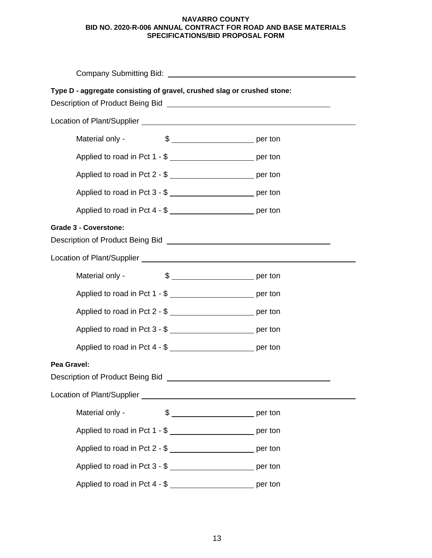| Company Submitting Bid: University of Company Submitting Bid:                                                                                                                             |  |  |  |
|-------------------------------------------------------------------------------------------------------------------------------------------------------------------------------------------|--|--|--|
| Type D - aggregate consisting of gravel, crushed slag or crushed stone:<br>Description of Product Being Bid Learn Communication of Product Being Bid Learn Communication of Product Being |  |  |  |
|                                                                                                                                                                                           |  |  |  |
| Material only -                                                                                                                                                                           |  |  |  |
| Applied to road in Pct 1 - \$ __________________________ per ton                                                                                                                          |  |  |  |
| Applied to road in Pct 2 - \$ __________________________ per ton                                                                                                                          |  |  |  |
| Applied to road in Pct 3 - \$ __________________________ per ton                                                                                                                          |  |  |  |
| Applied to road in Pct 4 - \$ ___________________________ per ton                                                                                                                         |  |  |  |
| <b>Grade 3 - Coverstone:</b>                                                                                                                                                              |  |  |  |
|                                                                                                                                                                                           |  |  |  |
| $\frac{1}{2}$ per ton<br>Material only -                                                                                                                                                  |  |  |  |
| Applied to road in Pct 1 - \$ ______________________________ per ton                                                                                                                      |  |  |  |
|                                                                                                                                                                                           |  |  |  |
| Applied to road in Pct 3 - \$                                                                                                                                                             |  |  |  |
| Applied to road in Pct 4 - \$ __________________________ per ton                                                                                                                          |  |  |  |
| Pea Gravel:<br>Description of Product Being Bid                                                                                                                                           |  |  |  |
|                                                                                                                                                                                           |  |  |  |
| Material only -                                                                                                                                                                           |  |  |  |
| Applied to road in Pct 1 - \$ ___________________________ per ton                                                                                                                         |  |  |  |
| Applied to road in Pct 2 - \$ __________________________ per ton                                                                                                                          |  |  |  |
| Applied to road in Pct 3 - \$ __________________________ per ton                                                                                                                          |  |  |  |
| Applied to road in Pct 4 - \$ ____________________________ per ton                                                                                                                        |  |  |  |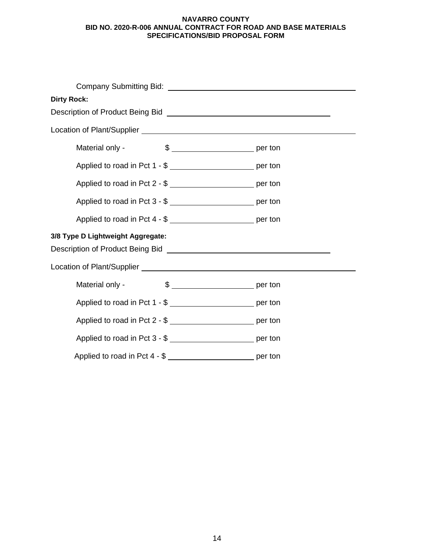| <b>Dirty Rock:</b>                                                                                                                                   |  |  |  |  |
|------------------------------------------------------------------------------------------------------------------------------------------------------|--|--|--|--|
| Description of Product Being Bid [100] [2010] [2010] [2010] [2010] [2010] [2010] [2010] [2010] [2010] [2010] [                                       |  |  |  |  |
|                                                                                                                                                      |  |  |  |  |
| Material only -                                                                                                                                      |  |  |  |  |
| Applied to road in Pct 1 - \$ ___________________________ per ton                                                                                    |  |  |  |  |
| Applied to road in Pct 2 - \$ ___________________________ per ton                                                                                    |  |  |  |  |
| Applied to road in Pct 3 - \$ ___________________________ per ton                                                                                    |  |  |  |  |
| Applied to road in Pct 4 - \$ ___________________________ per ton                                                                                    |  |  |  |  |
| 3/8 Type D Lightweight Aggregate:<br>Description of Product Being Bid [1994] [2005] [2006] [2006] [2006] [2006] [2006] [2006] [2006] [2006] [2006] [ |  |  |  |  |
|                                                                                                                                                      |  |  |  |  |
| Material only -                                                                                                                                      |  |  |  |  |
| Applied to road in Pct 1 - \$                                                                                                                        |  |  |  |  |
| Applied to road in Pct 2 - \$                                                                                                                        |  |  |  |  |
| Applied to road in Pct 3 - \$ ______________________________ per ton                                                                                 |  |  |  |  |
| Applied to road in Pct 4 - \$ __________________________ per ton                                                                                     |  |  |  |  |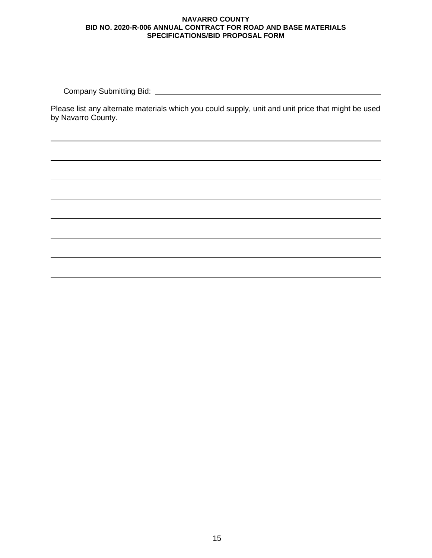Company Submitting Bid:

Please list any alternate materials which you could supply, unit and unit price that might be used by Navarro County.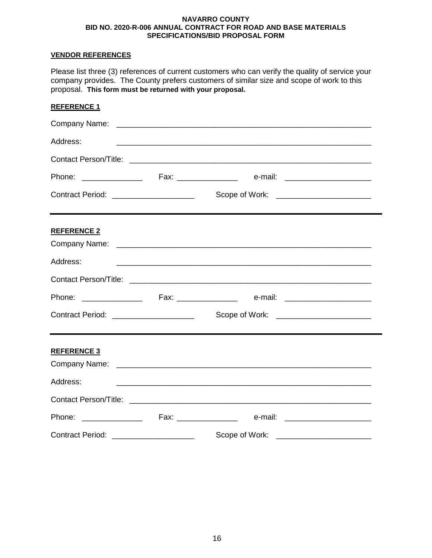## **VENDOR REFERENCES**

Please list three (3) references of current customers who can verify the quality of service your company provides. The County prefers customers of similar size and scope of work to this proposal. **This form must be returned with your proposal.**

| <b>REFERENCE 1</b>                         |                                                           |                                                                                                                      |  |
|--------------------------------------------|-----------------------------------------------------------|----------------------------------------------------------------------------------------------------------------------|--|
|                                            |                                                           |                                                                                                                      |  |
| Address:                                   |                                                           |                                                                                                                      |  |
|                                            |                                                           |                                                                                                                      |  |
|                                            |                                                           |                                                                                                                      |  |
| Contract Period: ______________________    |                                                           | Scope of Work: ________________________                                                                              |  |
| <b>REFERENCE 2</b>                         |                                                           |                                                                                                                      |  |
| Address:                                   |                                                           |                                                                                                                      |  |
|                                            |                                                           |                                                                                                                      |  |
|                                            |                                                           |                                                                                                                      |  |
| Contract Period: _________________________ |                                                           | Scope of Work: _________________________                                                                             |  |
| <b>REFERENCE 3</b>                         |                                                           |                                                                                                                      |  |
| Address:                                   |                                                           | <u> 1989 - Johann John Harry Harry Harry Harry Harry Harry Harry Harry Harry Harry Harry Harry Harry Harry Harry</u> |  |
|                                            |                                                           |                                                                                                                      |  |
|                                            |                                                           |                                                                                                                      |  |
| <b>Contract Period:</b>                    | <u> 1989 - Andrea Stadt Britain, amerikansk politik (</u> | Scope of Work:                                                                                                       |  |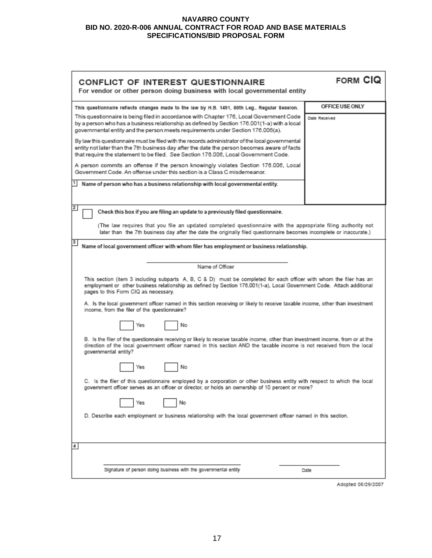| CONFLICT OF INTEREST QUESTIONNAIRE<br>For vendor or other person doing business with local governmental entity                                                                                                                                                                                                                                                                                                        | FORM CIQ        |  |  |
|-----------------------------------------------------------------------------------------------------------------------------------------------------------------------------------------------------------------------------------------------------------------------------------------------------------------------------------------------------------------------------------------------------------------------|-----------------|--|--|
| This questionnaire reflects changes made to the law by H.B. 1491, 80th Leg., Regular Session.                                                                                                                                                                                                                                                                                                                         | OFFICE USE ONLY |  |  |
| This questionnaire is being filed in accordance with Chapter 176, Local Government Code<br>by a person who has a business relationship as defined by Section 176.001(1-a) with a local<br>governmental entity and the person meets requirements under Section 176.006(a).                                                                                                                                             | Date Received   |  |  |
| By law this questionnaire must be filed with the records administrator of the local governmental<br>entity not later than the 7th business day after the date the person becomes aware of facts<br>that require the statement to be filed. See Section 176.006, Local Government Code.                                                                                                                                |                 |  |  |
| A person commits an offense if the person knowingly violates Section 176.006, Local<br>Government Code. An offense under this section is a Class C misdemeanor.                                                                                                                                                                                                                                                       |                 |  |  |
| Name of person who has a business relationship with local governmental entity.                                                                                                                                                                                                                                                                                                                                        |                 |  |  |
| $\overline{2}$<br>Check this box if you are filing an update to a previously filed questionnaire.                                                                                                                                                                                                                                                                                                                     |                 |  |  |
| (The law requires that you file an updated completed questionnaire with the appropriate filing authority not<br>later than the 7th business day after the date the originally filed questionnaire becomes incomplete or inaccurate.)                                                                                                                                                                                  |                 |  |  |
| 3<br>Name of local government officer with whom filer has employment or business relationship.                                                                                                                                                                                                                                                                                                                        |                 |  |  |
| Name of Officer                                                                                                                                                                                                                                                                                                                                                                                                       |                 |  |  |
| This section (item 3 including subparts A, B, C & D) must be completed for each officer with whom the filer has an<br>employment or other business relationship as defined by Section 176.001(1-a), Local Government Code. Attach additional<br>pages to this Form CIQ as necessary.<br>A. Is the local government officer named in this section receiving or likely to receive taxable income, other than investment |                 |  |  |
| income, from the filer of the questionnaire?                                                                                                                                                                                                                                                                                                                                                                          |                 |  |  |
| No<br>Yes                                                                                                                                                                                                                                                                                                                                                                                                             |                 |  |  |
| B. Is the filer of the questionnaire receiving or likely to receive taxable income, other than investment income, from or at the<br>direction of the local government officer named in this section AND the taxable income is not received from the local<br>governmental entity?                                                                                                                                     |                 |  |  |
| No<br>Yes                                                                                                                                                                                                                                                                                                                                                                                                             |                 |  |  |
| C. Is the filer of this questionnaire employed by a corporation or other business entity with respect to which the local<br>government officer serves as an officer or director, or holds an ownership of 10 percent or more?                                                                                                                                                                                         |                 |  |  |
| No<br>Yes                                                                                                                                                                                                                                                                                                                                                                                                             |                 |  |  |
| D. Describe each employment or business relationship with the local government officer named in this section.                                                                                                                                                                                                                                                                                                         |                 |  |  |
| 4                                                                                                                                                                                                                                                                                                                                                                                                                     |                 |  |  |
| Signature of person doing business with the governmental entity                                                                                                                                                                                                                                                                                                                                                       | Date            |  |  |

Adopted 06/29/2007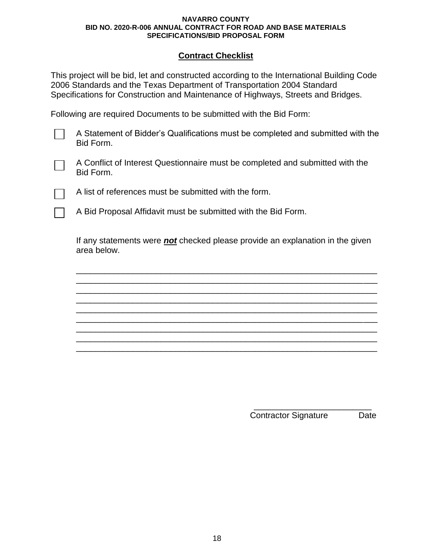## **Contract Checklist**

This project will be bid, let and constructed according to the International Building Code 2006 Standards and the Texas Department of Transportation 2004 Standard Specifications for Construction and Maintenance of Highways, Streets and Bridges.

Following are required Documents to be submitted with the Bid Form:

A Statement of Bidder's Qualifications must be completed and submitted with the Bid Form.



A Conflict of Interest Questionnaire must be completed and submitted with the Bid Form.

A list of references must be submitted with the form.

A Bid Proposal Affidavit must be submitted with the Bid Form.

If any statements were *not* checked please provide an explanation in the given area below.

\_\_\_\_\_\_\_\_\_\_\_\_\_\_\_\_\_\_\_\_\_\_\_\_\_\_\_\_\_\_\_\_\_\_\_\_\_\_\_\_\_\_\_\_\_\_\_\_\_\_\_\_\_\_\_\_\_\_\_\_\_\_\_\_ \_\_\_\_\_\_\_\_\_\_\_\_\_\_\_\_\_\_\_\_\_\_\_\_\_\_\_\_\_\_\_\_\_\_\_\_\_\_\_\_\_\_\_\_\_\_\_\_\_\_\_\_\_\_\_\_\_\_\_\_\_\_\_\_ \_\_\_\_\_\_\_\_\_\_\_\_\_\_\_\_\_\_\_\_\_\_\_\_\_\_\_\_\_\_\_\_\_\_\_\_\_\_\_\_\_\_\_\_\_\_\_\_\_\_\_\_\_\_\_\_\_\_\_\_\_\_\_\_ \_\_\_\_\_\_\_\_\_\_\_\_\_\_\_\_\_\_\_\_\_\_\_\_\_\_\_\_\_\_\_\_\_\_\_\_\_\_\_\_\_\_\_\_\_\_\_\_\_\_\_\_\_\_\_\_\_\_\_\_\_\_\_\_ \_\_\_\_\_\_\_\_\_\_\_\_\_\_\_\_\_\_\_\_\_\_\_\_\_\_\_\_\_\_\_\_\_\_\_\_\_\_\_\_\_\_\_\_\_\_\_\_\_\_\_\_\_\_\_\_\_\_\_\_\_\_\_\_ \_\_\_\_\_\_\_\_\_\_\_\_\_\_\_\_\_\_\_\_\_\_\_\_\_\_\_\_\_\_\_\_\_\_\_\_\_\_\_\_\_\_\_\_\_\_\_\_\_\_\_\_\_\_\_\_\_\_\_\_\_\_\_\_ \_\_\_\_\_\_\_\_\_\_\_\_\_\_\_\_\_\_\_\_\_\_\_\_\_\_\_\_\_\_\_\_\_\_\_\_\_\_\_\_\_\_\_\_\_\_\_\_\_\_\_\_\_\_\_\_\_\_\_\_\_\_\_\_ \_\_\_\_\_\_\_\_\_\_\_\_\_\_\_\_\_\_\_\_\_\_\_\_\_\_\_\_\_\_\_\_\_\_\_\_\_\_\_\_\_\_\_\_\_\_\_\_\_\_\_\_\_\_\_\_\_\_\_\_\_\_\_\_ \_\_\_\_\_\_\_\_\_\_\_\_\_\_\_\_\_\_\_\_\_\_\_\_\_\_\_\_\_\_\_\_\_\_\_\_\_\_\_\_\_\_\_\_\_\_\_\_\_\_\_\_\_\_\_\_\_\_\_\_\_\_\_\_

> \_\_\_\_\_\_\_\_\_\_\_\_\_\_\_\_\_\_\_\_\_\_\_\_\_ Contractor Signature Date